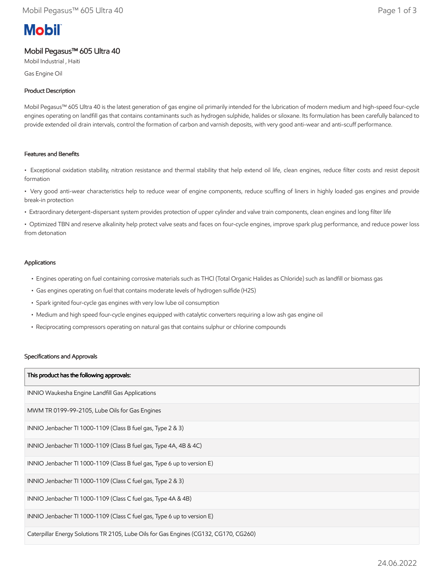# **Mobil**

# Mobil Pegasus™ 605 Ultra 40

Mobil Industrial , Haiti

Gas Engine Oil

# Product Description

Mobil Pegasus™ 605 Ultra 40 is the latest generation of gas engine oil primarily intended for the lubrication of modern medium and high-speed four-cycle engines operating on landfill gas that contains contaminants such as hydrogen sulphide, halides or siloxane. Its formulation has been carefully balanced to provide extended oil drain intervals, control the formation of carbon and varnish deposits, with very good anti-wear and anti-scuff performance.

## Features and Benefits

• Exceptional oxidation stability, nitration resistance and thermal stability that help extend oil life, clean engines, reduce filter costs and resist deposit formation

• Very good anti-wear characteristics help to reduce wear of engine components, reduce scuffing of liners in highly loaded gas engines and provide break-in protection

• Extraordinary detergent-dispersant system provides protection of upper cylinder and valve train components, clean engines and long filter life

• Optimized TBN and reserve alkalinity help protect valve seats and faces on four-cycle engines, improve spark plug performance, and reduce power loss from detonation

### Applications

- Engines operating on fuel containing corrosive materials such as THCl (Total Organic Halides as Chloride) such as landfill or biomass gas
- Gas engines operating on fuel that contains moderate levels of hydrogen sulfide (H2S)
- Spark ignited four-cycle gas engines with very low lube oil consumption
- Medium and high speed four-cycle engines equipped with catalytic converters requiring a low ash gas engine oil
- Reciprocating compressors operating on natural gas that contains sulphur or chlorine compounds

#### Specifications and Approvals

| This product has the following approvals:                                             |
|---------------------------------------------------------------------------------------|
| INNIO Waukesha Engine Landfill Gas Applications                                       |
| MWM TR 0199-99-2105, Lube Oils for Gas Engines                                        |
| INNIO Jenbacher TI 1000-1109 (Class B fuel gas, Type 2 & 3)                           |
| INNIO Jenbacher TI 1000-1109 (Class B fuel gas, Type 4A, 4B & 4C)                     |
| INNIO Jenbacher TI 1000-1109 (Class B fuel gas, Type 6 up to version E)               |
| INNIO Jenbacher TI 1000-1109 (Class C fuel gas, Type 2 & 3)                           |
| INNIO Jenbacher TI 1000-1109 (Class C fuel gas, Type 4A & 4B)                         |
| INNIO Jenbacher TI 1000-1109 (Class C fuel gas, Type 6 up to version E)               |
| Caterpillar Energy Solutions TR 2105, Lube Oils for Gas Engines (CG132, CG170, CG260) |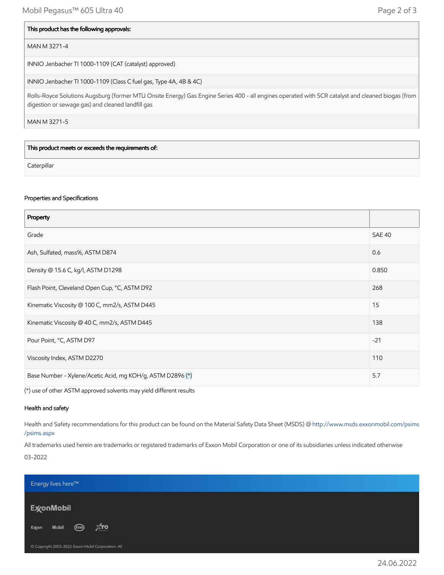#### This product has the following approvals:

#### MAN M 3271-4

INNIO Jenbacher TI 1000-1109 (CAT (catalyst) approved)

INNIO Jenbacher TI 1000-1109 (Class C fuel gas, Type 4A, 4B & 4C)

Rolls-Royce Solutions Augsburg (former MTU Onsite Energy) Gas Engine Series 400 - all engines operated with SCR catalyst and cleaned biogas (from digestion or sewage gas) and cleaned landfill gas

MAN M 3271-5

This product meets or exceeds the requirements of:

**Caterpillar** 

#### Properties and Specifications

| Property                                                   |               |
|------------------------------------------------------------|---------------|
| Grade                                                      | <b>SAE 40</b> |
| Ash, Sulfated, mass%, ASTM D874                            | 0.6           |
| Density @ 15.6 C, kg/l, ASTM D1298                         | 0.850         |
| Flash Point, Cleveland Open Cup, °C, ASTM D92              | 268           |
| Kinematic Viscosity @ 100 C, mm2/s, ASTM D445              | 15            |
| Kinematic Viscosity @ 40 C, mm2/s, ASTM D445               | 138           |
| Pour Point, °C, ASTM D97                                   | $-21$         |
| Viscosity Index, ASTM D2270                                | 110           |
| Base Number - Xylene/Acetic Acid, mg KOH/g, ASTM D2896 (*) | 5.7           |

(\*) use of other ASTM approved solvents may yield different results

#### Health and safety

Health and Safety recommendations for this product can be found on the Material Safety Data Sheet (MSDS) @ [http://www.msds.exxonmobil.com/psims](http://www.msds.exxonmobil.com/psims/psims.aspx) /psims.aspx

All trademarks used herein are trademarks or registered trademarks of Exxon Mobil Corporation or one of its subsidiaries unless indicated otherwise 03-2022